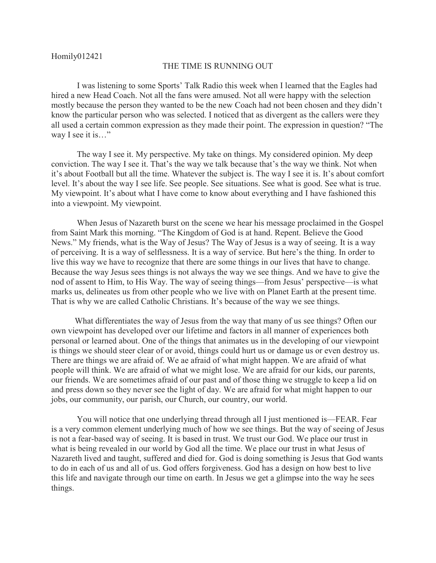## Homily012421

## THE TIME IS RUNNING OUT

 I was listening to some Sports' Talk Radio this week when I learned that the Eagles had hired a new Head Coach. Not all the fans were amused. Not all were happy with the selection mostly because the person they wanted to be the new Coach had not been chosen and they didn't know the particular person who was selected. I noticed that as divergent as the callers were they all used a certain common expression as they made their point. The expression in question? "The way I see it is..."

 The way I see it. My perspective. My take on things. My considered opinion. My deep conviction. The way I see it. That's the way we talk because that's the way we think. Not when it's about Football but all the time. Whatever the subject is. The way I see it is. It's about comfort level. It's about the way I see life. See people. See situations. See what is good. See what is true. My viewpoint. It's about what I have come to know about everything and I have fashioned this into a viewpoint. My viewpoint.

 When Jesus of Nazareth burst on the scene we hear his message proclaimed in the Gospel from Saint Mark this morning. "The Kingdom of God is at hand. Repent. Believe the Good News." My friends, what is the Way of Jesus? The Way of Jesus is a way of seeing. It is a way of perceiving. It is a way of selflessness. It is a way of service. But here's the thing. In order to live this way we have to recognize that there are some things in our lives that have to change. Because the way Jesus sees things is not always the way we see things. And we have to give the nod of assent to Him, to His Way. The way of seeing things—from Jesus' perspective—is what marks us, delineates us from other people who we live with on Planet Earth at the present time. That is why we are called Catholic Christians. It's because of the way we see things.

 What differentiates the way of Jesus from the way that many of us see things? Often our own viewpoint has developed over our lifetime and factors in all manner of experiences both personal or learned about. One of the things that animates us in the developing of our viewpoint is things we should steer clear of or avoid, things could hurt us or damage us or even destroy us. There are things we are afraid of. We ae afraid of what might happen. We are afraid of what people will think. We are afraid of what we might lose. We are afraid for our kids, our parents, our friends. We are sometimes afraid of our past and of those thing we struggle to keep a lid on and press down so they never see the light of day. We are afraid for what might happen to our jobs, our community, our parish, our Church, our country, our world.

 You will notice that one underlying thread through all I just mentioned is—FEAR. Fear is a very common element underlying much of how we see things. But the way of seeing of Jesus is not a fear-based way of seeing. It is based in trust. We trust our God. We place our trust in what is being revealed in our world by God all the time. We place our trust in what Jesus of Nazareth lived and taught, suffered and died for. God is doing something is Jesus that God wants to do in each of us and all of us. God offers forgiveness. God has a design on how best to live this life and navigate through our time on earth. In Jesus we get a glimpse into the way he sees things.